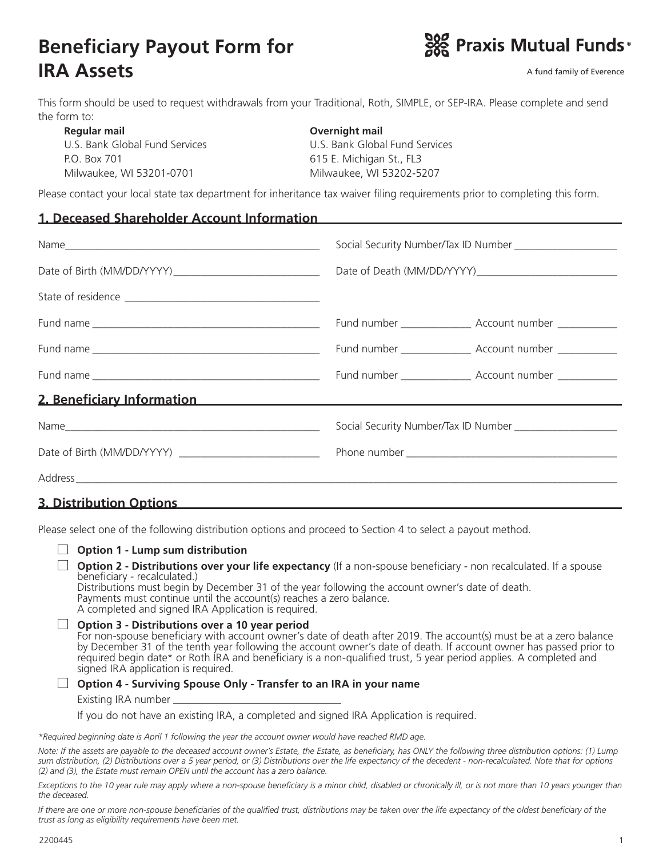# **Beneficiary Payout Form for IRA Assets**



A fund family of Everence

This form should be used to request withdrawals from your Traditional, Roth, SIMPLE, or SEP-IRA. Please complete and send the form to:

| Regular mail                   | Overnight mail                 |  |  |
|--------------------------------|--------------------------------|--|--|
| U.S. Bank Global Fund Services | U.S. Bank Global Fund Services |  |  |
| P.O. Box 701                   | 615 E. Michigan St., FL3       |  |  |
| Milwaukee, WI 53201-0701       | Milwaukee, WI 53202-5207       |  |  |

Please contact your local state tax department for inheritance tax waiver filing requirements prior to completing this form.

#### **1. Deceased Shareholder Account Information**

|                                                                                                                                                                                                                                  | Fund number ___________________ Account number _____________  |  |  |
|----------------------------------------------------------------------------------------------------------------------------------------------------------------------------------------------------------------------------------|---------------------------------------------------------------|--|--|
|                                                                                                                                                                                                                                  | Fund number ____________________ Account number _____________ |  |  |
|                                                                                                                                                                                                                                  | Fund number ____________________ Account number _____________ |  |  |
| 2. Beneficiary Information<br>and the contract of the contract of the contract of the contract of the contract of the contract of the contract of the contract of the contract of the contract of the contract of the contract o |                                                               |  |  |
|                                                                                                                                                                                                                                  |                                                               |  |  |
| Date of Birth (MM/DD/YYYY) ______________________________                                                                                                                                                                        |                                                               |  |  |
|                                                                                                                                                                                                                                  |                                                               |  |  |
| .                                                                                                                                                                                                                                |                                                               |  |  |

### **3. Distribution Options**

Please select one of the following distribution options and proceed to Section 4 to select a payout method.

| <b>Option 1 - Lump sum distribution</b>                                                                                                                                                                                                                                                                                                                                                                                                                |
|--------------------------------------------------------------------------------------------------------------------------------------------------------------------------------------------------------------------------------------------------------------------------------------------------------------------------------------------------------------------------------------------------------------------------------------------------------|
| <b>Option 2 - Distributions over your life expectancy</b> (If a non-spouse beneficiary - non recalculated. If a spouse<br>beneficiary - recalculated.)<br>Distributions must begin by December 31 of the year following the account owner's date of death.<br>Payments must continue until the account(s) reaches a zero balance.<br>A completed and signed IRA Application is required.                                                               |
| Option 3 - Distributions over a 10 year period<br>For non-spouse beneficiary with account owner's date of death after 2019. The account(s) must be at a zero balance<br>by December 31 of the tenth year following the account owner's date of death. If account owner has passed prior to<br>required begin date* or Roth IRA and beneficiary is a non-qualified trust, 5 year period applies. A completed and<br>signed IRA application is required. |
| Option 4 - Surviving Spouse Only - Transfer to an IRA in your name                                                                                                                                                                                                                                                                                                                                                                                     |
| Existing IRA number                                                                                                                                                                                                                                                                                                                                                                                                                                    |
| If you do not have an existing IRA, a completed and signed IRA Application is required.                                                                                                                                                                                                                                                                                                                                                                |
| *Required beginning date is April 1 following the year the account owner would have reached RMD age.                                                                                                                                                                                                                                                                                                                                                   |

*Note: If the assets are payable to the deceased account owner's Estate, the Estate, as beneficiary, has ONLY the following three distribution options: (1) Lump sum distribution, (2) Distributions over a 5 year period, or (3) Distributions over the life expectancy of the decedent - non-recalculated. Note that for options (2) and (3), the Estate must remain OPEN until the account has a zero balance.*

Exceptions to the 10 year rule may apply where a non-spouse beneficiary is a minor child, disabled or chronically ill, or is not more than 10 years younger than *the deceased.*

*If there are one or more non-spouse beneficiaries of the qualified trust, distributions may be taken over the life expectancy of the oldest beneficiary of the trust as long as eligibility requirements have been met.*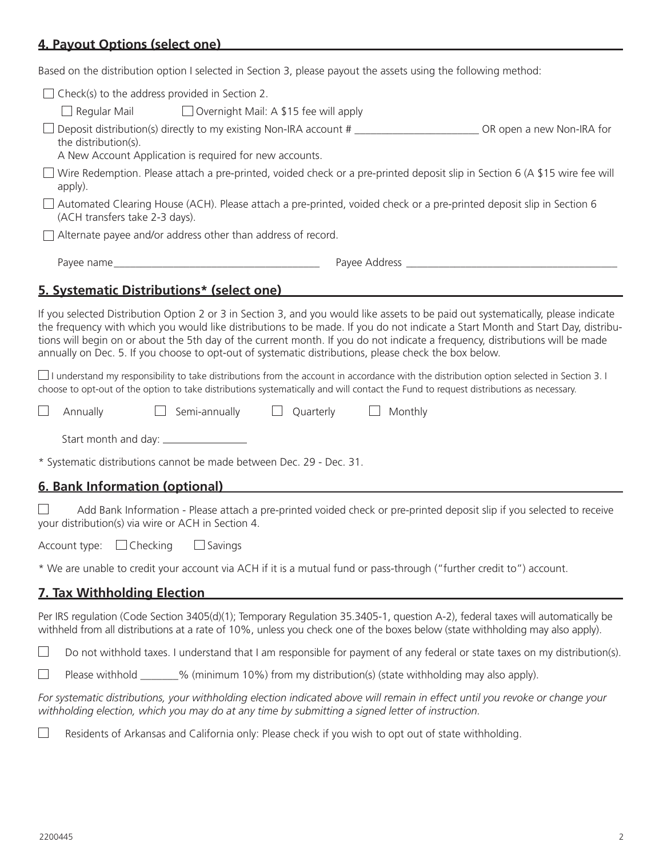# **4. Payout Options (select one)**

Based on the distribution option I selected in Section 3, please payout the assets using the following method:

| $\Box$ Check(s) to the address provided in Section 2.                                                                                                                                                                                                                                                                                                                                                                                                                                                                                                                                                                                                                  |                                                                                                                        |
|------------------------------------------------------------------------------------------------------------------------------------------------------------------------------------------------------------------------------------------------------------------------------------------------------------------------------------------------------------------------------------------------------------------------------------------------------------------------------------------------------------------------------------------------------------------------------------------------------------------------------------------------------------------------|------------------------------------------------------------------------------------------------------------------------|
| $\Box$ Regular Mail<br>$\Box$ Overnight Mail: A \$15 fee will apply                                                                                                                                                                                                                                                                                                                                                                                                                                                                                                                                                                                                    |                                                                                                                        |
| Deposit distribution(s) directly to my existing Non-IRA account # ___________________________OR open a new Non-IRA for<br>the distribution(s).<br>A New Account Application is required for new accounts.                                                                                                                                                                                                                                                                                                                                                                                                                                                              |                                                                                                                        |
| $\Box$ Wire Redemption. Please attach a pre-printed, voided check or a pre-printed deposit slip in Section 6 (A \$15 wire fee will<br>apply).                                                                                                                                                                                                                                                                                                                                                                                                                                                                                                                          |                                                                                                                        |
| $\Box$ Automated Clearing House (ACH). Please attach a pre-printed, voided check or a pre-printed deposit slip in Section 6<br>(ACH transfers take 2-3 days).                                                                                                                                                                                                                                                                                                                                                                                                                                                                                                          |                                                                                                                        |
| Alternate payee and/or address other than address of record.                                                                                                                                                                                                                                                                                                                                                                                                                                                                                                                                                                                                           |                                                                                                                        |
|                                                                                                                                                                                                                                                                                                                                                                                                                                                                                                                                                                                                                                                                        |                                                                                                                        |
| 5. Systematic Distributions* (select one)                                                                                                                                                                                                                                                                                                                                                                                                                                                                                                                                                                                                                              |                                                                                                                        |
| the frequency with which you would like distributions to be made. If you do not indicate a Start Month and Start Day, distribu-<br>tions will begin on or about the 5th day of the current month. If you do not indicate a frequency, distributions will be made<br>annually on Dec. 5. If you choose to opt-out of systematic distributions, please check the box below.<br>$\Box$ I understand my responsibility to take distributions from the account in accordance with the distribution option selected in Section 3. I<br>choose to opt-out of the option to take distributions systematically and will contact the Fund to request distributions as necessary. |                                                                                                                        |
| $\Box$<br>Annually<br>Semi-annually Duarterly                                                                                                                                                                                                                                                                                                                                                                                                                                                                                                                                                                                                                          | $\Box$ Monthly                                                                                                         |
|                                                                                                                                                                                                                                                                                                                                                                                                                                                                                                                                                                                                                                                                        |                                                                                                                        |
| * Systematic distributions cannot be made between Dec. 29 - Dec. 31.                                                                                                                                                                                                                                                                                                                                                                                                                                                                                                                                                                                                   |                                                                                                                        |
| 6. Bank Information (optional)                                                                                                                                                                                                                                                                                                                                                                                                                                                                                                                                                                                                                                         |                                                                                                                        |
| your distribution(s) via wire or ACH in Section 4.                                                                                                                                                                                                                                                                                                                                                                                                                                                                                                                                                                                                                     | Add Bank Information - Please attach a pre-printed voided check or pre-printed deposit slip if you selected to receive |
| Account type: $\Box$ Checking $\Box$ Savings                                                                                                                                                                                                                                                                                                                                                                                                                                                                                                                                                                                                                           |                                                                                                                        |
| * We are unable to credit your account via ACH if it is a mutual fund or pass-through ("further credit to") account.                                                                                                                                                                                                                                                                                                                                                                                                                                                                                                                                                   |                                                                                                                        |
| <b>7. Tax Withholding Election</b>                                                                                                                                                                                                                                                                                                                                                                                                                                                                                                                                                                                                                                     |                                                                                                                        |
|                                                                                                                                                                                                                                                                                                                                                                                                                                                                                                                                                                                                                                                                        |                                                                                                                        |

Per IRS regulation (Code Section 3405(d)(1); Temporary Regulation 35.3405-1, question A-2), federal taxes will automatically be withheld from all distributions at a rate of 10%, unless you check one of the boxes below (state withholding may also apply).

 $\Box$ Do not withhold taxes. I understand that I am responsible for payment of any federal or state taxes on my distribution(s).

 $\Box$ Please withhold \_\_\_\_\_\_% (minimum 10%) from my distribution(s) (state withholding may also apply).

*For systematic distributions, your withholding election indicated above will remain in effect until you revoke or change your withholding election, which you may do at any time by submitting a signed letter of instruction.*

 $\Box$ Residents of Arkansas and California only: Please check if you wish to opt out of state withholding.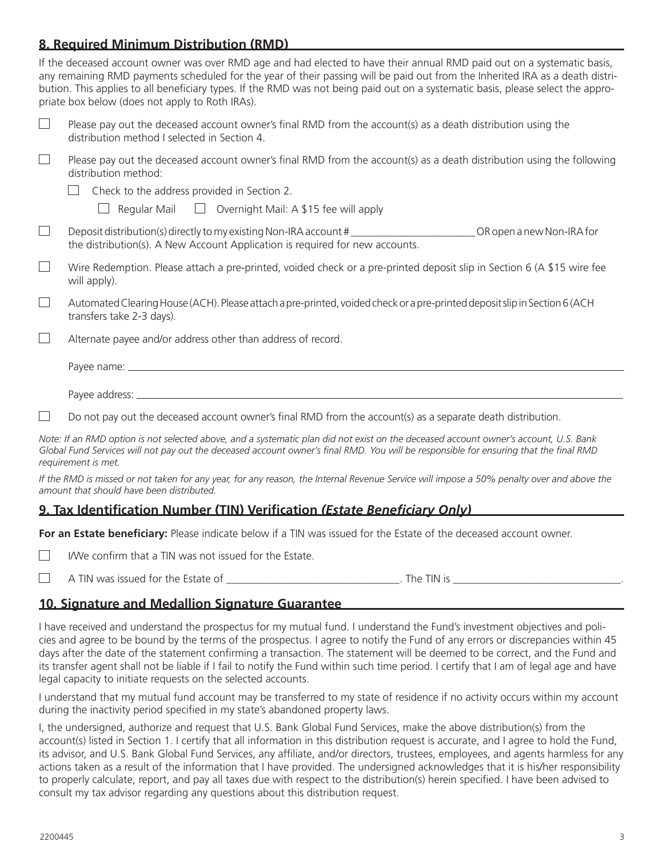## **8. Required Minimum Distribution (RMD)**

If the deceased account owner was over RMD age and had elected to have their annual RMD paid out on a systematic basis, any remaining RMD payments scheduled for the year of their passing will be paid out from the Inherited IRA as a death distribution. This applies to all beneficiary types. If the RMD was not being paid out on a systematic basis, please select the appropriate box below (does not apply to Roth IRAs).

| Please pay out the deceased account owner's final RMD from the account(s) as a death distribution using the |
|-------------------------------------------------------------------------------------------------------------|
| distribution method I selected in Section 4.                                                                |

- $\Box$ Please pay out the deceased account owner's final RMD from the account(s) as a death distribution using the following distribution method:
	- $\Box$  Check to the address provided in Section 2.

 $\Box$  Regular Mail  $\Box$  Overnight Mail: A \$15 fee will apply

- Deposit distribution(s) directly to my existing Non-IRA account # \_\_\_\_\_\_\_\_\_\_\_\_\_\_\_\_\_\_\_\_\_\_\_ OR open a new Non-IRA for  $\Box$ the distribution(s). A New Account Application is required for new accounts.
- $\Box$ Wire Redemption. Please attach a pre-printed, voided check or a pre-printed deposit slip in Section 6 (A \$15 wire fee will apply).
- $\Box$ Automated Clearing House (ACH). Please attach a pre-printed, voided check or a pre-printed deposit slip in Section 6 (ACH transfers take 2-3 days).
- $\Box$ Alternate payee and/or address other than address of record.

Payee name:

Payee address:

 $\Box$ Do not pay out the deceased account owner's final RMD from the account(s) as a separate death distribution.

*Note: If an RMD option is not selected above, and a systematic plan did not exist on the deceased account owner's account, U.S. Bank Global Fund Services will not pay out the deceased account owner's final RMD. You will be responsible for ensuring that the final RMD requirement is met.*

*If the RMD is missed or not taken for any year, for any reason, the Internal Revenue Service will impose a 50% penalty over and above the amount that should have been distributed.*

## **9. Tax Identification Number (TIN) Verification** *(Estate Beneficiary Only)*

**For an Estate beneficiary:** Please indicate below if a TIN was issued for the Estate of the deceased account owner.

- $\Box$ I/We confirm that a TIN was not issued for the Estate.
- A TIN was issued for the Estate of \_\_\_\_\_\_\_\_\_\_\_\_\_\_\_\_\_\_\_\_\_\_\_\_\_\_\_\_\_\_\_\_. The TIN is \_\_\_\_\_\_\_\_\_\_\_\_\_\_\_\_\_\_\_\_\_\_\_\_\_\_\_\_\_\_\_.  $\Box$

### **10. Signature and Medallion Signature Guarantee**

I have received and understand the prospectus for my mutual fund. I understand the Fund's investment objectives and policies and agree to be bound by the terms of the prospectus. I agree to notify the Fund of any errors or discrepancies within 45 days after the date of the statement confirming a transaction. The statement will be deemed to be correct, and the Fund and its transfer agent shall not be liable if I fail to notify the Fund within such time period. I certify that I am of legal age and have legal capacity to initiate requests on the selected accounts.

I understand that my mutual fund account may be transferred to my state of residence if no activity occurs within my account during the inactivity period specified in my state's abandoned property laws.

I, the undersigned, authorize and request that U.S. Bank Global Fund Services, make the above distribution(s) from the account(s) listed in Section 1. I certify that all information in this distribution request is accurate, and I agree to hold the Fund, its advisor, and U.S. Bank Global Fund Services, any affiliate, and/or directors, trustees, employees, and agents harmless for any actions taken as a result of the information that I have provided. The undersigned acknowledges that it is his/her responsibility to properly calculate, report, and pay all taxes due with respect to the distribution(s) herein specified. I have been advised to consult my tax advisor regarding any questions about this distribution request.